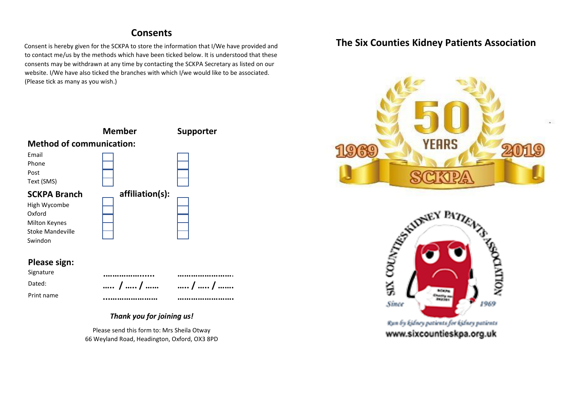## **Consents**

Consent is hereby given for the SCKPA to store the information that I/We have provided and to contact me/us by the methods which have been ticked below. It is understood that these consents may be withdrawn at any time by contacting the SCKPA Secretary as listed on our website. I/We have also ticked the branches with which I/we would like to be associated. (Please tick as many as you wish.)



## **Please sign:**

Signature Print name





# *Thank you for joining us!*

Please send this form to: Mrs Sheila Otway 66 Weyland Road, Headington, Oxford, OX3 8PD

# **The Six Counties Kidney Patients Association**